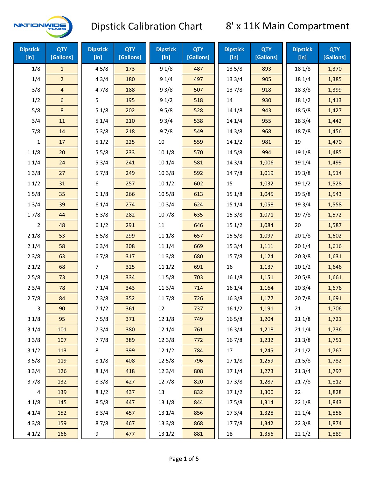

| <b>Dipstick</b><br>$[$ in] | <b>QTY</b><br>[Gallons] | <b>Dipstick</b><br>[in] | <b>QTY</b><br>[Gallons] | <b>Dipstick</b><br>[in] | <b>QTY</b><br>[Gallons] | <b>Dipstick</b><br>[in] | <b>QTY</b><br>[Gallons] | <b>Dipstick</b><br>$[$ in] | <b>QTY</b><br>[Gallons] |
|----------------------------|-------------------------|-------------------------|-------------------------|-------------------------|-------------------------|-------------------------|-------------------------|----------------------------|-------------------------|
| 1/8                        | $\mathbf{1}$            | 45/8                    | 173                     | 91/8                    | 487                     | 13 5/8                  | 893                     | 18 1/8                     | 1,370                   |
| 1/4                        | $\overline{a}$          | 43/4                    | 180                     | 91/4                    | 497                     | 13 3/4                  | 905                     | 18 1/4                     | 1,385                   |
| 3/8                        | $\overline{\mathbf{4}}$ | 47/8                    | 188                     | 93/8                    | 507                     | 137/8                   | 918                     | 18 3/8                     | 1,399                   |
| 1/2                        | 6                       | 5                       | 195                     | 91/2                    | 518                     | 14                      | 930                     | 18 1/2                     | 1,413                   |
| 5/8                        | 8                       | 51/8                    | 202                     | 95/8                    | 528                     | 14 1/8                  | 943                     | 185/8                      | 1,427                   |
| 3/4                        | 11                      | 51/4                    | 210                     | 93/4                    | 538                     | 14 1/4                  | 955                     | 18 3/4                     | 1,442                   |
| 7/8                        | 14                      | 53/8                    | 218                     | 97/8                    | 549                     | 14 3/8                  | 968                     | 187/8                      | 1,456                   |
| 1                          | 17                      | 51/2                    | 225                     | 10                      | 559                     | 14 1/2                  | 981                     | 19                         | 1,470                   |
| 11/8                       | 20                      | 55/8                    | 233                     | 101/8                   | 570                     | 14 5/8                  | 994                     | 19 1/8                     | 1,485                   |
| 11/4                       | 24                      | 53/4                    | 241                     | 10 1/4                  | 581                     | 14 3/4                  | 1,006                   | 19 1/4                     | 1,499                   |
| 13/8                       | 27                      | 57/8                    | 249                     | 103/8                   | 592                     | 147/8                   | 1,019                   | 19 3/8                     | 1,514                   |
| 11/2                       | 31                      | 6                       | 257                     | 101/2                   | 602                     | 15                      | 1,032                   | 19 1/2                     | 1,528                   |
| 15/8                       | 35                      | 61/8                    | 266                     | 10 <sub>5/8</sub>       | 613                     | 151/8                   | 1,045                   | 19 5/8                     | 1,543                   |
| 13/4                       | 39                      | 61/4                    | 274                     | 103/4                   | 624                     | 151/4                   | 1,058                   | 19 3/4                     | 1,558                   |
| 17/8                       | 44                      | 63/8                    | 282                     | 107/8                   | 635                     | 153/8                   | 1,071                   | 197/8                      | 1,572                   |
| $\overline{2}$             | 48                      | 61/2                    | 291                     | $11\,$                  | 646                     | 151/2                   | 1,084                   | 20                         | 1,587                   |
| 21/8                       | 53                      | 65/8                    | 299                     | 11 1/8                  | 657                     | 15 <sub>5</sub> /8      | 1,097                   | 201/8                      | 1,602                   |
| 21/4                       | 58                      | 63/4                    | 308                     | 11 1/4                  | 669                     | 153/4                   | 1,111                   | 201/4                      | 1,616                   |
| 23/8                       | 63                      | 67/8                    | 317                     | 11 3/8                  | 680                     | 15 7/8                  | 1,124                   | 203/8                      | 1,631                   |
| 21/2                       | 68                      | $\overline{7}$          | 325                     | 111/2                   | 691                     | 16                      | 1,137                   | 201/2                      | 1,646                   |
| 25/8                       | 73                      | 71/8                    | 334                     | 115/8                   | 703                     | 16 1/8                  | 1,151                   | 205/8                      | 1,661                   |
| 23/4                       | 78                      | 71/4                    | 343                     | 113/4                   | 714                     | 16 1/4                  | 1,164                   | 203/4                      | 1,676                   |
| 27/8                       | 84                      | 73/8                    | 352                     | 11 7/8                  | 726                     | 16 3/8                  | 1,177                   | 207/8                      | 1,691                   |
| 3                          | 90                      | 71/2                    | 361                     | 12                      | 737                     | 161/2                   | 1,191                   | 21                         | 1,706                   |
| 31/8                       | 95                      | 75/8                    | 371                     | 12 1/8                  | 749                     | $16\,5/8$               | 1,204                   | 211/8                      | 1,721                   |
| 31/4                       | 101                     | 73/4                    | 380                     | 12 1/4                  | 761                     | 16 3/4                  | 1,218                   | 211/4                      | 1,736                   |
| 33/8                       | 107                     | 77/8                    | 389                     | 12 3/8                  | 772                     | 16 7/8                  | 1,232                   | 213/8                      | 1,751                   |
| 31/2                       | 113                     | 8                       | 399                     | 121/2                   | 784                     | 17                      | 1,245                   | 211/2                      | 1,767                   |
| 35/8                       | 119                     | 81/8                    | 408                     | 12 5/8                  | 796                     | 17 1/8                  | 1,259                   | 215/8                      | 1,782                   |
| 33/4                       | 126                     | 81/4                    | 418                     | 123/4                   | 808                     | 17 1/4                  | 1,273                   | 213/4                      | 1,797                   |
| 37/8                       | 132                     | 83/8                    | 427                     | 12 7/8                  | 820                     | 173/8                   | 1,287                   | 217/8                      | 1,812                   |
| 4                          | 139                     | 81/2                    | 437                     | 13                      | 832                     | 171/2                   | 1,300                   | 22                         | 1,828                   |
| 41/8                       | 145                     | 85/8                    | 447                     | 13 1/8                  | 844                     | 175/8                   | 1,314                   | 22 1/8                     | 1,843                   |
| 41/4                       | 152                     | 83/4                    | 457                     | 13 1/4                  | 856                     | 173/4                   | 1,328                   | 221/4                      | 1,858                   |
| 43/8                       | 159                     | 87/8                    | 467                     | 13 3/8                  | 868                     | 177/8                   | 1,342                   | 223/8                      | 1,874                   |
| 41/2                       | 166                     | 9                       | 477                     | 13 1/2                  | 881                     | 18                      | 1,356                   | 221/2                      | 1,889                   |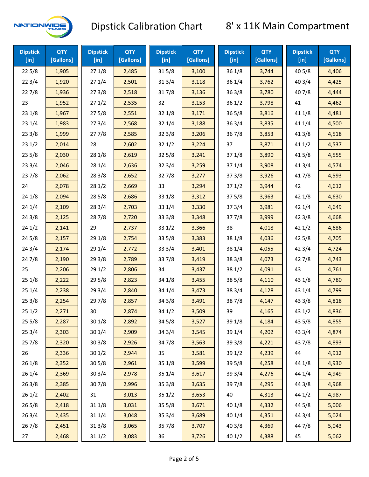

| <b>Dipstick</b><br>[in] | <b>QTY</b><br>[Gallons] | <b>Dipstick</b><br>$[$ in] | <b>QTY</b><br>[Gallons] | <b>Dipstick</b><br>$[$ in] | <b>QTY</b><br>[Gallons] | <b>Dipstick</b><br>$[$ in] | <b>QTY</b><br>[Gallons] | <b>Dipstick</b><br>$[$ in] | <b>QTY</b><br>[Gallons] |
|-------------------------|-------------------------|----------------------------|-------------------------|----------------------------|-------------------------|----------------------------|-------------------------|----------------------------|-------------------------|
| 225/8                   | 1,905                   | 271/8                      | 2,485                   | 315/8                      | 3,100                   | 36 1/8                     | 3,744                   | 40 5/8                     | 4,406                   |
| 223/4                   | 1,920                   | 271/4                      | 2,501                   | 31 3/4                     | 3,118                   | 36 1/4                     | 3,762                   | 40 3/4                     | 4,425                   |
| 227/8                   | 1,936                   | 273/8                      | 2,518                   | 317/8                      | 3,136                   | 363/8                      | 3,780                   | 407/8                      | 4,444                   |
| 23                      | 1,952                   | 271/2                      | 2,535                   | 32                         | 3,153                   | 361/2                      | 3,798                   | 41                         | 4,462                   |
| 231/8                   | 1,967                   | 275/8                      | 2,551                   | 32 1/8                     | 3,171                   | $36\,5/8$                  | 3,816                   | 41 1/8                     | 4,481                   |
| 231/4                   | 1,983                   | 273/4                      | 2,568                   | 32 1/4                     | 3,188                   | 363/4                      | 3,835                   | 41 1/4                     | 4,500                   |
| 233/8                   | 1,999                   | 277/8                      | 2,585                   | 323/8                      | 3,206                   | 36 7/8                     | 3,853                   | 41 3/8                     | 4,518                   |
| 231/2                   | 2,014                   | 28                         | 2,602                   | 321/2                      | 3,224                   | 37                         | 3,871                   | 411/2                      | 4,537                   |
| 235/8                   | 2,030                   | 28 1/8                     | 2,619                   | 32 5/8                     | 3,241                   | 37 1/8                     | 3,890                   | 41 5/8                     | 4,555                   |
| 233/4                   | 2,046                   | 28 1/4                     | 2,636                   | 32 3/4                     | 3,259                   | 37 1/4                     | 3,908                   | 41 3/4                     | 4,574                   |
| 237/8                   | 2,062                   | 28 3/8                     | 2,652                   | 327/8                      | 3,277                   | 373/8                      | 3,926                   | 417/8                      | 4,593                   |
| 24                      | 2,078                   | 281/2                      | 2,669                   | 33                         | 3,294                   | 371/2                      | 3,944                   | 42                         | 4,612                   |
| 24 1/8                  | 2,094                   | 285/8                      | 2,686                   | 33 1/8                     | 3,312                   | 375/8                      | 3,963                   | 42 1/8                     | 4,630                   |
| 241/4                   | 2,109                   | 28 3/4                     | 2,703                   | 33 1/4                     | 3,330                   | 373/4                      | 3,981                   | 42 1/4                     | 4,649                   |
| 243/8                   | 2,125                   | 287/8                      | 2,720                   | 333/8                      | 3,348                   | 377/8                      | 3,999                   | 42 3/8                     | 4,668                   |
| 241/2                   | 2,141                   | 29                         | 2,737                   | 331/2                      | 3,366                   | 38                         | 4,018                   | 421/2                      | 4,686                   |
| 245/8                   | 2,157                   | 29 1/8                     | 2,754                   | 33 5/8                     | 3,383                   | 38 1/8                     | 4,036                   | 42 5/8                     | 4,705                   |
| 243/4                   | 2,174                   | 29 1/4                     | 2,772                   | 33 3/4                     | 3,401                   | 38 1/4                     | 4,055                   | 42 3/4                     | 4,724                   |
| 24 7/8                  | 2,190                   | 293/8                      | 2,789                   | 337/8                      | 3,419                   | 38 3/8                     | 4,073                   | 42 7/8                     | 4,743                   |
| 25                      | 2,206                   | 29 1/2                     | 2,806                   | 34                         | 3,437                   | 38 1/2                     | 4,091                   | 43                         | 4,761                   |
| 25 1/8                  | 2,222                   | 29 5/8                     | 2,823                   | 34 1/8                     | 3,455                   | 38 5/8                     | 4,110                   | 43 1/8                     | 4,780                   |
| 251/4                   | 2,238                   | 29 3/4                     | 2,840                   | 34 1/4                     | 3,473                   | 38 3/4                     | 4,128                   | 43 1/4                     | 4,799                   |
| 253/8                   | 2,254                   | 297/8                      | 2,857                   | 34 3/8                     | 3,491                   | 387/8                      | 4,147                   | 43 3/8                     | 4,818                   |
| 251/2                   | 2,271                   | 30                         | 2,874                   | 341/2                      | 3,509                   | 39                         | 4,165                   | 431/2                      | 4,836                   |
| 255/8                   | 2,287                   | 30 1/8                     | 2,892                   | 34 5/8                     | 3,527                   | 39 1/8                     | 4,184                   | 43 5/8                     | 4,855                   |
| 253/4                   | 2,303                   | 30 1/4                     | 2,909                   | 34 3/4                     | 3,545                   | 39 1/4                     | 4,202                   | 43 3/4                     | 4,874                   |
| 257/8                   | 2,320                   | 303/8                      | 2,926                   | 347/8                      | 3,563                   | 39 3/8                     | 4,221                   | 437/8                      | 4,893                   |
| 26                      | 2,336                   | 301/2                      | 2,944                   | 35                         | 3,581                   | 39 1/2                     | 4,239                   | 44                         | 4,912                   |
| 261/8                   | 2,352                   | 30 5/8                     | 2,961                   | 35 1/8                     | 3,599                   | 39 5/8                     | 4,258                   | 44 1/8                     | 4,930                   |
| 26 1/4                  | 2,369                   | 30 3/4                     | 2,978                   | 35 1/4                     | 3,617                   | 39 3/4                     | 4,276                   | 44 1/4                     | 4,949                   |
| 263/8                   | 2,385                   | 307/8                      | 2,996                   | 35 3/8                     | 3,635                   | 397/8                      | 4,295                   | 44 3/8                     | 4,968                   |
| 261/2                   | 2,402                   | 31                         | 3,013                   | 351/2                      | 3,653                   | 40                         | 4,313                   | 44 1/2                     | 4,987                   |
| 265/8                   | 2,418                   | 31 1/8                     | 3,031                   | 35 5/8                     | 3,671                   | 40 1/8                     | 4,332                   | 44 5/8                     | 5,006                   |
| 263/4                   | 2,435                   | 31 1/4                     | 3,048                   | 35 3/4                     | 3,689                   | 40 1/4                     | 4,351                   | 44 3/4                     | 5,024                   |
| 267/8                   | 2,451                   | 31 3/8                     | 3,065                   | 357/8                      | 3,707                   | 40 3/8                     | 4,369                   | 447/8                      | 5,043                   |
| 27                      | 2,468                   | 31 1/2                     | 3,083                   | 36                         | 3,726                   | 40 1/2                     | 4,388                   | 45                         | 5,062                   |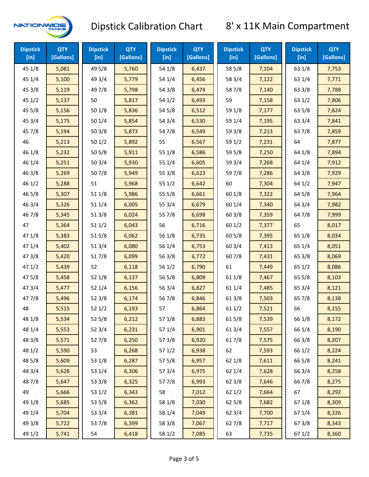

| <b>Dipstick</b><br>$[$ in] | <b>QTY</b><br>[Gallons] | <b>Dipstick</b><br>$[$ in] | <b>QTY</b><br>[Gallons] | <b>Dipstick</b><br>$[$ in] | <b>QTY</b><br>[Gallons] | <b>Dipstick</b><br>$[$ in] | <b>QTY</b><br>[Gallons] | <b>Dipstick</b><br>$[$ in] | <b>QTY</b><br>[Gallons] |
|----------------------------|-------------------------|----------------------------|-------------------------|----------------------------|-------------------------|----------------------------|-------------------------|----------------------------|-------------------------|
| 45 1/8                     | 5,081                   | 49 5/8                     | 5,760                   | 54 1/8                     | 6,437                   | 58 5/8                     | 7,104                   | 63 1/8                     | 7,753                   |
| 45 1/4                     | 5,100                   | 49 3/4                     | 5,779                   | 54 1/4                     | 6,456                   | 58 3/4                     | 7,122                   | 63 1/4                     | 7,771                   |
| 45 3/8                     | 5,119                   | 49 7/8                     | 5,798                   | 54 3/8                     | 6,474                   | 587/8                      | 7,140                   | 63 3/8                     | 7,788                   |
| 451/2                      | 5,137                   | 50                         | 5,817                   | 54 1/2                     | 6,493                   | 59                         | 7,158                   | 63 1/2                     | 7,806                   |
| 45 5/8                     | 5,156                   | 501/8                      | 5,836                   | 54 5/8                     | 6,512                   | 59 1/8                     | 7,177                   | 63 5/8                     | 7,824                   |
| 45 3/4                     | 5,175                   | 501/4                      | 5,854                   | 54 3/4                     | 6,530                   | 59 1/4                     | 7,195                   | 63 3/4                     | 7,841                   |
| 45 7/8                     | 5,194                   | 503/8                      | 5,873                   | 54 7/8                     | 6,549                   | 59 3/8                     | 7,213                   | 637/8                      | 7,859                   |
| 46                         | 5,213                   | 501/2                      | 5,892                   | 55                         | 6,567                   | 59 1/2                     | 7,231                   | 64                         | 7,877                   |
| 46 1/8                     | 5,232                   | 505/8                      | 5,911                   | 55 1/8                     | 6,586                   | 59 5/8                     | 7,250                   | 64 1/8                     | 7,894                   |
| 46 1/4                     | 5,251                   | 503/4                      | 5,930                   | 55 1/4                     | 6,605                   | 59 3/4                     | 7,268                   | 64 1/4                     | 7,912                   |
| 46 3/8                     | 5,269                   | 507/8                      | 5,949                   | 55 3/8                     | 6,623                   | 597/8                      | 7,286                   | 64 3/8                     | 7,929                   |
| 46 1/2                     | 5,288                   | 51                         | 5,968                   | 551/2                      | 6,642                   | 60                         | 7,304                   | 64 1/2                     | 7,947                   |
| 46 5/8                     | 5,307                   | 51 1/8                     | 5,986                   | 55 5/8                     | 6,661                   | 60 1/8                     | 7,322                   | 64 5/8                     | 7,964                   |
| 46 3/4                     | 5,326                   | 51 1/4                     | 6,005                   | 55 3/4                     | 6,679                   | 60 1/4                     | 7,340                   | 64 3/4                     | 7,982                   |
| 46 7/8                     | 5,345                   | 513/8                      | 6,024                   | 55 7/8                     | 6,698                   | 60 3/8                     | 7,359                   | 64 7/8                     | 7,999                   |
| 47                         | 5,364                   | 511/2                      | 6,043                   | 56                         | 6,716                   | 601/2                      | 7,377                   | 65                         | 8,017                   |
| 47 1/8                     | 5,383                   | 515/8                      | 6,062                   | 56 1/8                     | 6,735                   | 60 5/8                     | 7,395                   | 65 1/8                     | 8,034                   |
| 47 1/4                     | 5,402                   | 51 3/4                     | 6,080                   | 56 1/4                     | 6,753                   | 60 3/4                     | 7,413                   | 65 1/4                     | 8,051                   |
| 47 3/8                     | 5,420                   | 517/8                      | 6,099                   | 56 3/8                     | 6,772                   | 607/8                      | 7,431                   | 65 3/8                     | 8,069                   |
| 47 1/2                     | 5,439                   | 52                         | 6,118                   | 56 1/2                     | 6,790                   | 61                         | 7,449                   | 65 1/2                     | 8,086                   |
| 475/8                      | 5,458                   | 52 1/8                     | 6,137                   | 56 5/8                     | 6,809                   | 61 1/8                     | 7,467                   | 65 5/8                     | 8,103                   |
| 473/4                      | 5,477                   | 52 1/4                     | 6,156                   | 56 3/4                     | 6,827                   | 61 1/4                     | 7,485                   | 65 3/4                     | 8,121                   |
| 477/8                      | 5,496                   | 523/8                      | 6,174                   | 567/8                      | 6,846                   | 61 3/8                     | 7,503                   | 65 7/8                     | 8,138                   |
| 48                         | 5,515                   | 521/2                      | 6,193                   | 57                         | 6,864                   | 611/2                      | 7,521                   | 66                         | 8,155                   |
| 48 1/8                     | 5,534                   | 525/8                      | 6,212                   | 57 1/8                     | 6,883                   | 615/8                      | 7,539                   | 66 1/8                     | 8,172                   |
| 48 1/4                     | 5,553                   | 52 3/4                     | 6,231                   | 57 1/4                     | 6,901                   | 613/4                      | 7,557                   | 66 1/4                     | 8,190                   |
| 48 3/8                     | 5,571                   | 527/8                      | 6,250                   | 57 3/8                     | 6,920                   | 617/8                      | 7,575                   | 66 3/8                     | 8,207                   |
| 48 1/2                     | 5,590                   | 53                         | 6,268                   | 57 1/2                     | 6,938                   | 62                         | 7,593                   | 66 1/2                     | 8,224                   |
| 48 5/8                     | 5,609                   | 53 1/8                     | 6,287                   | 57 5/8                     | 6,957                   | 62 1/8                     | 7,611                   | 66 5/8                     | 8,241                   |
| 48 3/4                     | 5,628                   | 53 1/4                     | 6,306                   | 573/4                      | 6,975                   | 62 1/4                     | 7,628                   | 66 3/4                     | 8,258                   |
| 487/8                      | 5,647                   | 53 3/8                     | 6,325                   | 577/8                      | 6,993                   | 62 3/8                     | 7,646                   | 667/8                      | 8,275                   |
| 49                         | 5,666                   | 53 1/2                     | 6,343                   | 58                         | 7,012                   | 62 1/2                     | 7,664                   | 67                         | 8,292                   |
| 49 1/8                     | 5,685                   | 53 5/8                     | 6,362                   | 58 1/8                     | 7,030                   | 62 5/8                     | 7,682                   | 671/8                      | 8,309                   |
| 49 1/4                     | 5,704                   | 53 3/4                     | 6,381                   | 58 1/4                     | 7,049                   | 62 3/4                     | 7,700                   | 671/4                      | 8,326                   |
| 49 3/8                     | 5,722                   | 537/8                      | 6,399                   | 58 3/8                     | 7,067                   | 627/8                      | 7,717                   | 673/8                      | 8,343                   |
| 49 1/2                     | 5,741                   | 54                         | 6,418                   | 58 1/2                     | 7,085                   | 63                         | 7,735                   | 67 1/2                     | 8,360                   |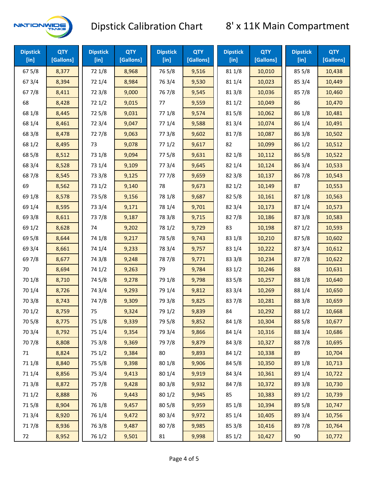

| <b>Dipstick</b><br>$[$ in] | <b>QTY</b><br>[Gallons] | <b>Dipstick</b><br>$[$ in] | <b>QTY</b><br>[Gallons] | <b>Dipstick</b><br>$[$ in] | <b>QTY</b><br>[Gallons] | <b>Dipstick</b><br>$[$ in] | <b>QTY</b><br>[Gallons] | <b>Dipstick</b><br>$[$ in] | <b>QTY</b><br>[Gallons] |
|----------------------------|-------------------------|----------------------------|-------------------------|----------------------------|-------------------------|----------------------------|-------------------------|----------------------------|-------------------------|
| 675/8                      | 8,377                   | 72 1/8                     | 8,968                   | 765/8                      | 9,516                   | 81 1/8                     | 10,010                  | 855/8                      | 10,438                  |
| 67 3/4                     | 8,394                   | 72 1/4                     | 8,984                   | 763/4                      | 9,530                   | 81 1/4                     | 10,023                  | 85 3/4                     | 10,449                  |
| 677/8                      | 8,411                   | 72 3/8                     | 9,000                   | 767/8                      | 9,545                   | 81 3/8                     | 10,036                  | 857/8                      | 10,460                  |
| 68                         | 8,428                   | 721/2                      | 9,015                   | 77                         | 9,559                   | 81 1/2                     | 10,049                  | 86                         | 10,470                  |
| 68 1/8                     | 8,445                   | 725/8                      | 9,031                   | 77 1/8                     | 9,574                   | 815/8                      | 10,062                  | 86 1/8                     | 10,481                  |
| 68 1/4                     | 8,461                   | 72 3/4                     | 9,047                   | 77 1/4                     | 9,588                   | 813/4                      | 10,074                  | 86 1/4                     | 10,491                  |
| 68 3/8                     | 8,478                   | 727/8                      | 9,063                   | 77 3/8                     | 9,602                   | 817/8                      | 10,087                  | 86 3/8                     | 10,502                  |
| 68 1/2                     | 8,495                   | 73                         | 9,078                   | 771/2                      | 9,617                   | 82                         | 10,099                  | 86 1/2                     | 10,512                  |
| 68 5/8                     | 8,512                   | 73 1/8                     | 9,094                   | 775/8                      | 9,631                   | 82 1/8                     | 10,112                  | 86 5/8                     | 10,522                  |
| 68 3/4                     | 8,528                   | 73 1/4                     | 9,109                   | 773/4                      | 9,645                   | 82 1/4                     | 10,124                  | 86 3/4                     | 10,533                  |
| 687/8                      | 8,545                   | 73 3/8                     | 9,125                   | 777/8                      | 9,659                   | 82 3/8                     | 10,137                  | 867/8                      | 10,543                  |
| 69                         | 8,562                   | 73 1/2                     | 9,140                   | 78                         | 9,673                   | 821/2                      | 10,149                  | 87                         | 10,553                  |
| 69 1/8                     | 8,578                   | 73 5/8                     | 9,156                   | 78 1/8                     | 9,687                   | 82 5/8                     | 10,161                  | 871/8                      | 10,563                  |
| 69 1/4                     | 8,595                   | 73 3/4                     | 9,171                   | 78 1/4                     | 9,701                   | 82 3/4                     | 10,173                  | 87 1/4                     | 10,573                  |
| 69 3/8                     | 8,611                   | 737/8                      | 9,187                   | 78 3/8                     | 9,715                   | 827/8                      | 10,186                  | 87 3/8                     | 10,583                  |
| 69 1/2                     | 8,628                   | 74                         | 9,202                   | 78 1/2                     | 9,729                   | 83                         | 10,198                  | 871/2                      | 10,593                  |
| 69 5/8                     | 8,644                   | 74 1/8                     | 9,217                   | 78 5/8                     | 9,743                   | 83 1/8                     | 10,210                  | 87 5/8                     | 10,602                  |
| 69 3/4                     | 8,661                   | 74 1/4                     | 9,233                   | 78 3/4                     | 9,757                   | 83 1/4                     | 10,222                  | 87 3/4                     | 10,612                  |
| 69 7/8                     | 8,677                   | 74 3/8                     | 9,248                   | 787/8                      | 9,771                   | 83 3/8                     | 10,234                  | 877/8                      | 10,622                  |
| 70                         | 8,694                   | 74 1/2                     | 9,263                   | 79                         | 9,784                   | 83 1/2                     | 10,246                  | 88                         | 10,631                  |
| 70 1/8                     | 8,710                   | 74 5/8                     | 9,278                   | 79 1/8                     | 9,798                   | 83 5/8                     | 10,257                  | 88 1/8                     | 10,640                  |
| 70 1/4                     | 8,726                   | 74 3/4                     | 9,293                   | 79 1/4                     | 9,812                   | 83 3/4                     | 10,269                  | 88 1/4                     | 10,650                  |
| 70 3/8                     | 8,743                   | 747/8                      | 9,309                   | 79 3/8                     | 9,825                   | 837/8                      | 10,281                  | 88 3/8                     | 10,659                  |
| 70 1/2                     | 8,759                   | 75                         | 9,324                   | 79 1/2                     | 9,839                   | 84                         | 10,292                  | 88 1/2                     | 10,668                  |
| 70 5/8                     | 8,775                   | 75 1/8                     | 9,339                   | 79 5/8                     | 9,852                   | 84 1/8                     | 10,304                  | 88 5/8                     | 10,677                  |
| 70 3/4                     | 8,792                   | 75 1/4                     | 9,354                   | 79 3/4                     | 9,866                   | 84 1/4                     | 10,316                  | 88 3/4                     | 10,686                  |
| 70 7/8                     | 8,808                   | 75 3/8                     | 9,369                   | 79 7/8                     | 9,879                   | 84 3/8                     | 10,327                  | 887/8                      | 10,695                  |
| 71                         | 8,824                   | 75 1/2                     | 9,384                   | 80                         | 9,893                   | 84 1/2                     | 10,338                  | 89                         | 10,704                  |
| 71 1/8                     | 8,840                   | 75 5/8                     | 9,398                   | 80 1/8                     | 9,906                   | 84 5/8                     | 10,350                  | 89 1/8                     | 10,713                  |
| 71 1/4                     | 8,856                   | 75 3/4                     | 9,413                   | 80 1/4                     | 9,919                   | 84 3/4                     | 10,361                  | 89 1/4                     | 10,722                  |
| 713/8                      | 8,872                   | 75 7/8                     | 9,428                   | 80 3/8                     | 9,932                   | 847/8                      | 10,372                  | 89 3/8                     | 10,730                  |
| 71 1/2                     | 8,888                   | 76                         | 9,443                   | 80 1/2                     | 9,945                   | 85                         | 10,383                  | 89 1/2                     | 10,739                  |
| 715/8                      | 8,904                   | 76 1/8                     | 9,457                   | 80 5/8                     | 9,959                   | 85 1/8                     | 10,394                  | 89 5/8                     | 10,747                  |
| 713/4                      | 8,920                   | 76 1/4                     | 9,472                   | 80 3/4                     | 9,972                   | 85 1/4                     | 10,405                  | 89 3/4                     | 10,756                  |
| 717/8                      | 8,936                   | 763/8                      | 9,487                   | 807/8                      | 9,985                   | 85 3/8                     | 10,416                  | 897/8                      | 10,764                  |
| 72                         | 8,952                   | 76 1/2                     | 9,501                   | 81                         | 9,998                   | 85 1/2                     | 10,427                  | 90                         | 10,772                  |